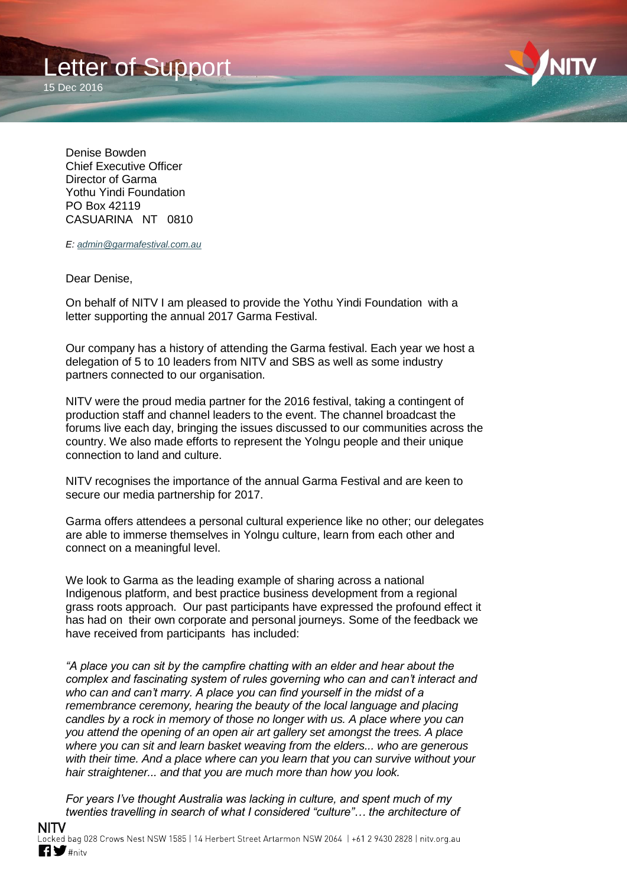



Denise Bowden Chief Executive Officer Director of Garma Yothu Yindi Foundation PO Box 42119 CASUARINA NT 0810

*E: [admin@garmafestival.com.au](mailto:admin@garmafestival.com.au)*

Dear Denise,

On behalf of NITV I am pleased to provide the Yothu Yindi Foundation with a letter supporting the annual 2017 Garma Festival.

Our company has a history of attending the Garma festival. Each year we host a delegation of 5 to 10 leaders from NITV and SBS as well as some industry partners connected to our organisation.

NITV were the proud media partner for the 2016 festival, taking a contingent of production staff and channel leaders to the event. The channel broadcast the forums live each day, bringing the issues discussed to our communities across the country. We also made efforts to represent the Yolngu people and their unique connection to land and culture.

NITV recognises the importance of the annual Garma Festival and are keen to secure our media partnership for 2017.

Garma offers attendees a personal cultural experience like no other; our delegates are able to immerse themselves in Yolngu culture, learn from each other and connect on a meaningful level.

We look to Garma as the leading example of sharing across a national Indigenous platform, and best practice business development from a regional grass roots approach. Our past participants have expressed the profound effect it has had on their own corporate and personal journeys. Some of the feedback we have received from participants has included:

*"A place you can sit by the campfire chatting with an elder and hear about the complex and fascinating system of rules governing who can and can't interact and*  who can and can't marry. A place you can find yourself in the midst of a *remembrance ceremony, hearing the beauty of the local language and placing candles by a rock in memory of those no longer with us. A place where you can you attend the opening of an open air art gallery set amongst the trees. A place where you can sit and learn basket weaving from the elders... who are generous with their time. And a place where can you learn that you can survive without your hair straightener... and that you are much more than how you look.*

*For years I've thought Australia was lacking in culture, and spent much of my twenties travelling in search of what I considered "culture"… the architecture of*